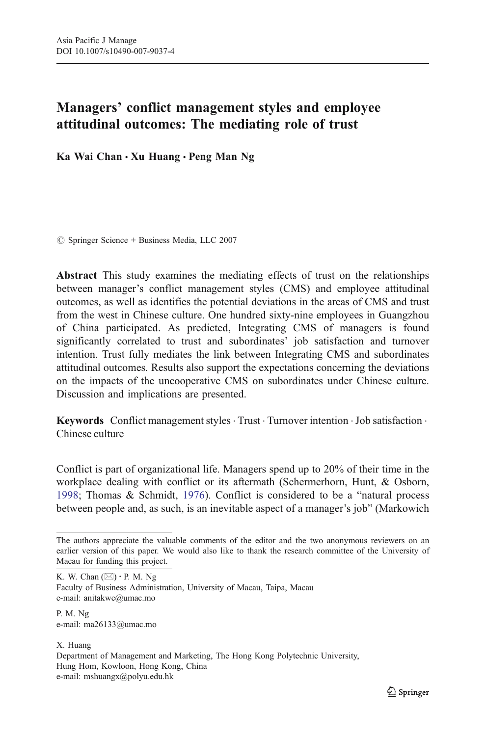# Managers*'* conflict management styles and employee attitudinal outcomes: The mediating role of trust

Ka Wai Chan  $\cdot$  Xu Huang  $\cdot$  Peng Man Ng

 $\oslash$  Springer Science + Business Media, LLC 2007

Abstract This study examines the mediating effects of trust on the relationships between manager's conflict management styles (CMS) and employee attitudinal outcomes, as well as identifies the potential deviations in the areas of CMS and trust from the west in Chinese culture. One hundred sixty-nine employees in Guangzhou of China participated. As predicted, Integrating CMS of managers is found significantly correlated to trust and subordinates' job satisfaction and turnover intention. Trust fully mediates the link between Integrating CMS and subordinates attitudinal outcomes. Results also support the expectations concerning the deviations on the impacts of the uncooperative CMS on subordinates under Chinese culture. Discussion and implications are presented.

Keywords Conflict management styles . Trust . Turnover intention .Job satisfaction . Chinese culture

Conflict is part of organizational life. Managers spend up to 20% of their time in the workplace dealing with conflict or its aftermath (Schermerhorn, Hunt, & Osborn, [1998;](#page-17-0) Thomas & Schmidt, [1976](#page-18-0)). Conflict is considered to be a "natural process between people and, as such, is an inevitable aspect of a manager's job" (Markowich

X. Huang Department of Management and Marketing, The Hong Kong Polytechnic University, Hung Hom, Kowloon, Hong Kong, China e-mail: mshuangx@polyu.edu.hk

The authors appreciate the valuable comments of the editor and the two anonymous reviewers on an earlier version of this paper. We would also like to thank the research committee of the University of Macau for funding this project.

K. W. Chan (*\**) *:* P. M. Ng Faculty of Business Administration, University of Macau, Taipa, Macau e-mail: anitakwc@umac.mo

P. M. Ng e-mail: ma26133@umac.mo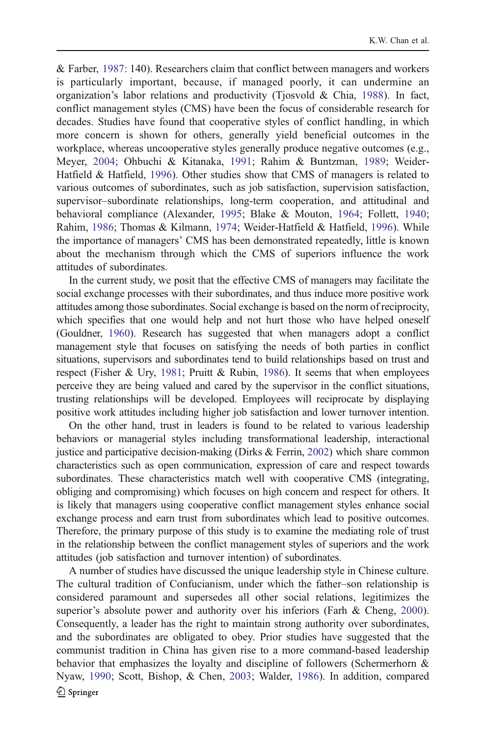& Farber, [1987](#page-17-0): 140). Researchers claim that conflict between managers and workers is particularly important, because, if managed poorly, it can undermine an organization's labor relations and productivity (Tjosvold & Chia, [1988](#page-18-0)). In fact, conflict management styles (CMS) have been the focus of considerable research for decades. Studies have found that cooperative styles of conflict handling, in which more concern is shown for others, generally yield beneficial outcomes in the workplace, whereas uncooperative styles generally produce negative outcomes (e.g., Meyer, [2004](#page-17-0); Ohbuchi & Kitanaka, [1991;](#page-17-0) Rahim & Buntzman, [1989](#page-17-0); Weider-Hatfield & Hatfield, [1996\)](#page-18-0). Other studies show that CMS of managers is related to various outcomes of subordinates, such as job satisfaction, supervision satisfaction, supervisor–subordinate relationships, long-term cooperation, and attitudinal and behavioral compliance (Alexander, [1995](#page-15-0); Blake & Mouton, [1964](#page-15-0); Follett, [1940;](#page-16-0) Rahim, [1986;](#page-17-0) Thomas & Kilmann, [1974;](#page-18-0) Weider-Hatfield & Hatfield, [1996](#page-18-0)). While the importance of managers' CMS has been demonstrated repeatedly, little is known about the mechanism through which the CMS of superiors influence the work attitudes of subordinates.

In the current study, we posit that the effective CMS of managers may facilitate the social exchange processes with their subordinates, and thus induce more positive work attitudes among those subordinates. Social exchange is based on the norm of reciprocity, which specifies that one would help and not hurt those who have helped oneself (Gouldner, [1960\)](#page-16-0). Research has suggested that when managers adopt a conflict management style that focuses on satisfying the needs of both parties in conflict situations, supervisors and subordinates tend to build relationships based on trust and respect (Fisher & Ury, [1981;](#page-16-0) Pruitt & Rubin, [1986](#page-17-0)). It seems that when employees perceive they are being valued and cared by the supervisor in the conflict situations, trusting relationships will be developed. Employees will reciprocate by displaying positive work attitudes including higher job satisfaction and lower turnover intention.

On the other hand, trust in leaders is found to be related to various leadership behaviors or managerial styles including transformational leadership, interactional justice and participative decision-making (Dirks  $\&$  Ferrin, [2002\)](#page-16-0) which share common characteristics such as open communication, expression of care and respect towards subordinates. These characteristics match well with cooperative CMS (integrating, obliging and compromising) which focuses on high concern and respect for others. It is likely that managers using cooperative conflict management styles enhance social exchange process and earn trust from subordinates which lead to positive outcomes. Therefore, the primary purpose of this study is to examine the mediating role of trust in the relationship between the conflict management styles of superiors and the work attitudes (job satisfaction and turnover intention) of subordinates.

A number of studies have discussed the unique leadership style in Chinese culture. The cultural tradition of Confucianism, under which the father–son relationship is considered paramount and supersedes all other social relations, legitimizes the superior's absolute power and authority over his inferiors (Farh & Cheng, [2000\)](#page-16-0). Consequently, a leader has the right to maintain strong authority over subordinates, and the subordinates are obligated to obey. Prior studies have suggested that the communist tradition in China has given rise to a more command-based leadership behavior that emphasizes the loyalty and discipline of followers (Schermerhorn & Nyaw, [1990;](#page-18-0) Scott, Bishop, & Chen, [2003;](#page-18-0) Walder, [1986\)](#page-18-0). In addition, compared 2 Springer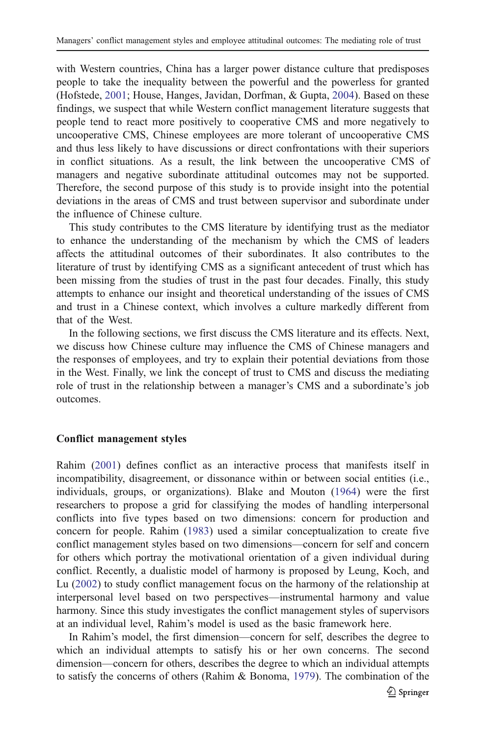with Western countries, China has a larger power distance culture that predisposes people to take the inequality between the powerful and the powerless for granted (Hofstede, [2001;](#page-16-0) House, Hanges, Javidan, Dorfman, & Gupta, [2004\)](#page-16-0). Based on these findings, we suspect that while Western conflict management literature suggests that people tend to react more positively to cooperative CMS and more negatively to uncooperative CMS, Chinese employees are more tolerant of uncooperative CMS and thus less likely to have discussions or direct confrontations with their superiors in conflict situations. As a result, the link between the uncooperative CMS of managers and negative subordinate attitudinal outcomes may not be supported. Therefore, the second purpose of this study is to provide insight into the potential deviations in the areas of CMS and trust between supervisor and subordinate under the influence of Chinese culture.

This study contributes to the CMS literature by identifying trust as the mediator to enhance the understanding of the mechanism by which the CMS of leaders affects the attitudinal outcomes of their subordinates. It also contributes to the literature of trust by identifying CMS as a significant antecedent of trust which has been missing from the studies of trust in the past four decades. Finally, this study attempts to enhance our insight and theoretical understanding of the issues of CMS and trust in a Chinese context, which involves a culture markedly different from that of the West.

In the following sections, we first discuss the CMS literature and its effects. Next, we discuss how Chinese culture may influence the CMS of Chinese managers and the responses of employees, and try to explain their potential deviations from those in the West. Finally, we link the concept of trust to CMS and discuss the mediating role of trust in the relationship between a manager's CMS and a subordinate's job outcomes.

#### Conflict management styles

Rahim ([2001\)](#page-17-0) defines conflict as an interactive process that manifests itself in incompatibility, disagreement, or dissonance within or between social entities (i.e., individuals, groups, or organizations). Blake and Mouton ([1964\)](#page-15-0) were the first researchers to propose a grid for classifying the modes of handling interpersonal conflicts into five types based on two dimensions: concern for production and concern for people. Rahim [\(1983](#page-17-0)) used a similar conceptualization to create five conflict management styles based on two dimensions—concern for self and concern for others which portray the motivational orientation of a given individual during conflict. Recently, a dualistic model of harmony is proposed by Leung, Koch, and Lu [\(2002](#page-17-0)) to study conflict management focus on the harmony of the relationship at interpersonal level based on two perspectives—instrumental harmony and value harmony. Since this study investigates the conflict management styles of supervisors at an individual level, Rahim's model is used as the basic framework here.

In Rahim's model, the first dimension—concern for self, describes the degree to which an individual attempts to satisfy his or her own concerns. The second dimension—concern for others, describes the degree to which an individual attempts to satisfy the concerns of others (Rahim & Bonoma, [1979](#page-17-0)). The combination of the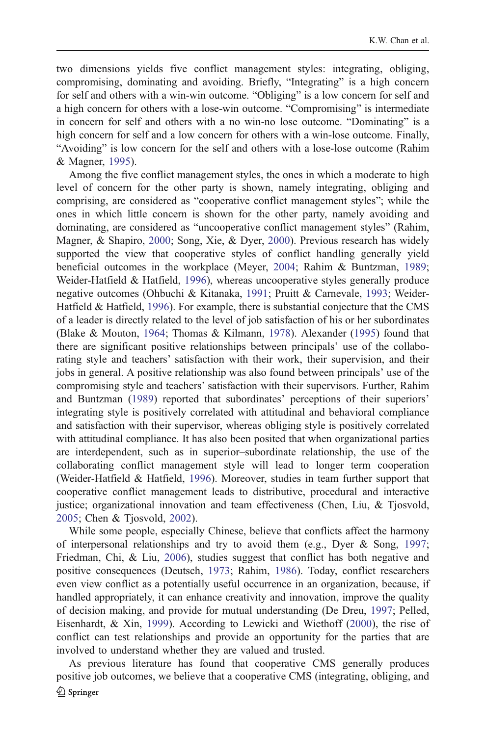two dimensions yields five conflict management styles: integrating, obliging, compromising, dominating and avoiding. Briefly, "Integrating" is a high concern for self and others with a win-win outcome. "Obliging" is a low concern for self and a high concern for others with a lose-win outcome. "Compromising" is intermediate in concern for self and others with a no win-no lose outcome. "Dominating" is a high concern for self and a low concern for others with a win-lose outcome. Finally, "Avoiding" is low concern for the self and others with a lose-lose outcome (Rahim & Magner, [1995](#page-17-0)).

Among the five conflict management styles, the ones in which a moderate to high level of concern for the other party is shown, namely integrating, obliging and comprising, are considered as "cooperative conflict management styles"; while the ones in which little concern is shown for the other party, namely avoiding and dominating, are considered as "uncooperative conflict management styles" (Rahim, Magner, & Shapiro, [2000](#page-17-0); Song, Xie, & Dyer, [2000](#page-18-0)). Previous research has widely supported the view that cooperative styles of conflict handling generally yield beneficial outcomes in the workplace (Meyer, [2004](#page-17-0); Rahim & Buntzman, [1989;](#page-17-0) Weider-Hatfield & Hatfield, [1996\)](#page-18-0), whereas uncooperative styles generally produce negative outcomes (Ohbuchi & Kitanaka, [1991;](#page-17-0) Pruitt & Carnevale, [1993;](#page-17-0) Weider-Hatfield & Hatfield, [1996](#page-18-0)). For example, there is substantial conjecture that the CMS of a leader is directly related to the level of job satisfaction of his or her subordinates (Blake & Mouton, [1964;](#page-15-0) Thomas & Kilmann, [1978\)](#page-18-0). Alexander [\(1995](#page-15-0)) found that there are significant positive relationships between principals' use of the collaborating style and teachers' satisfaction with their work, their supervision, and their jobs in general. A positive relationship was also found between principals' use of the compromising style and teachers' satisfaction with their supervisors. Further, Rahim and Buntzman [\(1989](#page-17-0)) reported that subordinates' perceptions of their superiors' integrating style is positively correlated with attitudinal and behavioral compliance and satisfaction with their supervisor, whereas obliging style is positively correlated with attitudinal compliance. It has also been posited that when organizational parties are interdependent, such as in superior–subordinate relationship, the use of the collaborating conflict management style will lead to longer term cooperation (Weider-Hatfield & Hatfield, [1996](#page-18-0)). Moreover, studies in team further support that cooperative conflict management leads to distributive, procedural and interactive justice; organizational innovation and team effectiveness (Chen, Liu, & Tjosvold, [2005;](#page-15-0) Chen & Tjosvold, [2002](#page-15-0)).

While some people, especially Chinese, believe that conflicts affect the harmony of interpersonal relationships and try to avoid them (e.g., Dyer & Song, [1997;](#page-16-0) Friedman, Chi, & Liu, [2006\)](#page-16-0), studies suggest that conflict has both negative and positive consequences (Deutsch, [1973](#page-16-0); Rahim, [1986\)](#page-17-0). Today, conflict researchers even view conflict as a potentially useful occurrence in an organization, because, if handled appropriately, it can enhance creativity and innovation, improve the quality of decision making, and provide for mutual understanding (De Dreu, [1997](#page-16-0); Pelled, Eisenhardt, & Xin, [1999\)](#page-17-0). According to Lewicki and Wiethoff [\(2000](#page-17-0)), the rise of conflict can test relationships and provide an opportunity for the parties that are involved to understand whether they are valued and trusted.

As previous literature has found that cooperative CMS generally produces positive job outcomes, we believe that a cooperative CMS (integrating, obliging, and 2 Springer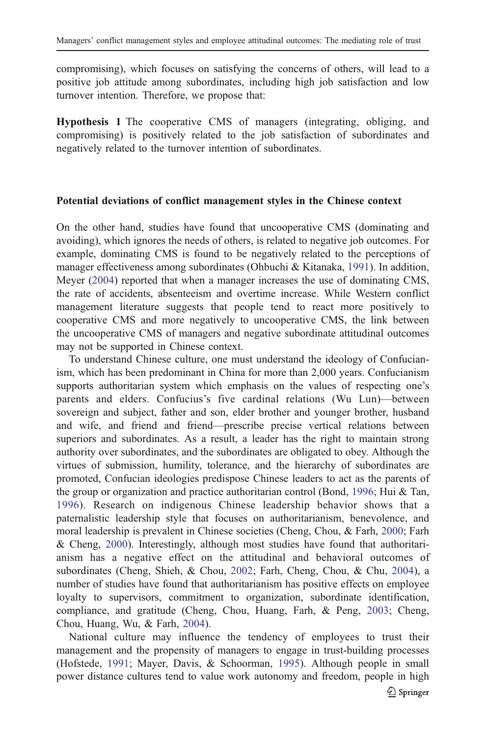compromising), which focuses on satisfying the concerns of others, will lead to a positive job attitude among subordinates, including high job satisfaction and low turnover intention. Therefore, we propose that:

Hypothesis 1 The cooperative CMS of managers (integrating, obliging, and compromising) is positively related to the job satisfaction of subordinates and negatively related to the turnover intention of subordinates.

#### Potential deviations of conflict management styles in the Chinese context

On the other hand, studies have found that uncooperative CMS (dominating and avoiding), which ignores the needs of others, is related to negative job outcomes. For example, dominating CMS is found to be negatively related to the perceptions of manager effectiveness among subordinates (Ohbuchi & Kitanaka, [1991](#page-17-0)). In addition, Meyer [\(2004](#page-17-0)) reported that when a manager increases the use of dominating CMS, the rate of accidents, absenteeism and overtime increase. While Western conflict management literature suggests that people tend to react more positively to cooperative CMS and more negatively to uncooperative CMS, the link between the uncooperative CMS of managers and negative subordinate attitudinal outcomes may not be supported in Chinese context.

To understand Chinese culture, one must understand the ideology of Confucianism, which has been predominant in China for more than 2,000 years. Confucianism supports authoritarian system which emphasis on the values of respecting one's parents and elders. Confucius's five cardinal relations (Wu Lun)—between sovereign and subject, father and son, elder brother and younger brother, husband and wife, and friend and friend—prescribe precise vertical relations between superiors and subordinates. As a result, a leader has the right to maintain strong authority over subordinates, and the subordinates are obligated to obey. Although the virtues of submission, humility, tolerance, and the hierarchy of subordinates are promoted, Confucian ideologies predispose Chinese leaders to act as the parents of the group or organization and practice authoritarian control (Bond, [1996](#page-15-0); Hui & Tan, [1996\)](#page-16-0). Research on indigenous Chinese leadership behavior shows that a paternalistic leadership style that focuses on authoritarianism, benevolence, and moral leadership is prevalent in Chinese societies (Cheng, Chou, & Farh, [2000;](#page-16-0) Farh & Cheng, [2000](#page-16-0)). Interestingly, although most studies have found that authoritarianism has a negative effect on the attitudinal and behavioral outcomes of subordinates (Cheng, Shieh, & Chou, [2002;](#page-16-0) Farh, Cheng, Chou, & Chu, [2004](#page-16-0)), a number of studies have found that authoritarianism has positive effects on employee loyalty to supervisors, commitment to organization, subordinate identification, compliance, and gratitude (Cheng, Chou, Huang, Farh, & Peng, [2003;](#page-16-0) Cheng, Chou, Huang, Wu, & Farh, [2004](#page-16-0)).

National culture may influence the tendency of employees to trust their management and the propensity of managers to engage in trust-building processes (Hofstede, [1991;](#page-16-0) Mayer, Davis, & Schoorman, [1995](#page-17-0)). Although people in small power distance cultures tend to value work autonomy and freedom, people in high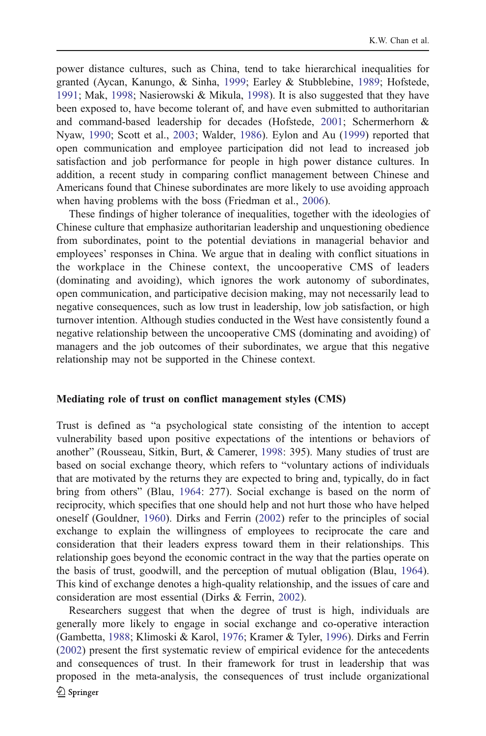power distance cultures, such as China, tend to take hierarchical inequalities for granted (Aycan, Kanungo, & Sinha, [1999](#page-15-0); Earley & Stubblebine, [1989;](#page-16-0) Hofstede, [1991;](#page-16-0) Mak, [1998](#page-17-0); Nasierowski & Mikula, [1998](#page-17-0)). It is also suggested that they have been exposed to, have become tolerant of, and have even submitted to authoritarian and command-based leadership for decades (Hofstede, [2001](#page-16-0); Schermerhorn & Nyaw, [1990](#page-18-0); Scott et al., [2003;](#page-18-0) Walder, [1986\)](#page-18-0). Eylon and Au [\(1999](#page-16-0)) reported that open communication and employee participation did not lead to increased job satisfaction and job performance for people in high power distance cultures. In addition, a recent study in comparing conflict management between Chinese and Americans found that Chinese subordinates are more likely to use avoiding approach when having problems with the boss (Friedman et al., [2006](#page-16-0)).

These findings of higher tolerance of inequalities, together with the ideologies of Chinese culture that emphasize authoritarian leadership and unquestioning obedience from subordinates, point to the potential deviations in managerial behavior and employees' responses in China. We argue that in dealing with conflict situations in the workplace in the Chinese context, the uncooperative CMS of leaders (dominating and avoiding), which ignores the work autonomy of subordinates, open communication, and participative decision making, may not necessarily lead to negative consequences, such as low trust in leadership, low job satisfaction, or high turnover intention. Although studies conducted in the West have consistently found a negative relationship between the uncooperative CMS (dominating and avoiding) of managers and the job outcomes of their subordinates, we argue that this negative relationship may not be supported in the Chinese context.

## Mediating role of trust on conflict management styles (CMS)

Trust is defined as "a psychological state consisting of the intention to accept vulnerability based upon positive expectations of the intentions or behaviors of another" (Rousseau, Sitkin, Burt, & Camerer, [1998:](#page-17-0) 395). Many studies of trust are based on social exchange theory, which refers to "voluntary actions of individuals that are motivated by the returns they are expected to bring and, typically, do in fact bring from others" (Blau, [1964:](#page-15-0) 277). Social exchange is based on the norm of reciprocity, which specifies that one should help and not hurt those who have helped oneself (Gouldner, [1960\)](#page-16-0). Dirks and Ferrin [\(2002](#page-16-0)) refer to the principles of social exchange to explain the willingness of employees to reciprocate the care and consideration that their leaders express toward them in their relationships. This relationship goes beyond the economic contract in the way that the parties operate on the basis of trust, goodwill, and the perception of mutual obligation (Blau, [1964\)](#page-15-0). This kind of exchange denotes a high-quality relationship, and the issues of care and consideration are most essential (Dirks & Ferrin, [2002\)](#page-16-0).

Researchers suggest that when the degree of trust is high, individuals are generally more likely to engage in social exchange and co-operative interaction (Gambetta, [1988;](#page-16-0) Klimoski & Karol, [1976](#page-17-0); Kramer & Tyler, [1996](#page-17-0)). Dirks and Ferrin [\(2002](#page-16-0)) present the first systematic review of empirical evidence for the antecedents and consequences of trust. In their framework for trust in leadership that was proposed in the meta-analysis, the consequences of trust include organizational 2 Springer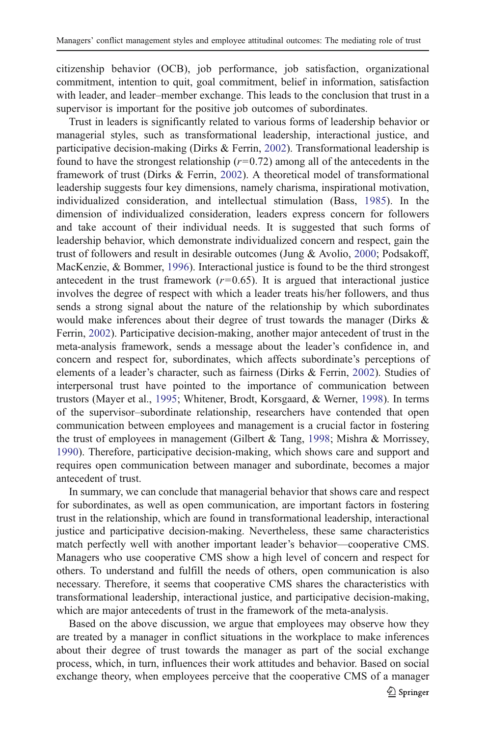citizenship behavior (OCB), job performance, job satisfaction, organizational commitment, intention to quit, goal commitment, belief in information, satisfaction with leader, and leader–member exchange. This leads to the conclusion that trust in a supervisor is important for the positive job outcomes of subordinates.

Trust in leaders is significantly related to various forms of leadership behavior or managerial styles, such as transformational leadership, interactional justice, and participative decision-making (Dirks & Ferrin, [2002](#page-16-0)). Transformational leadership is found to have the strongest relationship  $(r=0.72)$  among all of the antecedents in the framework of trust (Dirks & Ferrin, [2002](#page-16-0)). A theoretical model of transformational leadership suggests four key dimensions, namely charisma, inspirational motivation, individualized consideration, and intellectual stimulation (Bass, [1985\)](#page-15-0). In the dimension of individualized consideration, leaders express concern for followers and take account of their individual needs. It is suggested that such forms of leadership behavior, which demonstrate individualized concern and respect, gain the trust of followers and result in desirable outcomes (Jung & Avolio, [2000](#page-17-0); Podsakoff, MacKenzie, & Bommer, [1996](#page-17-0)). Interactional justice is found to be the third strongest antecedent in the trust framework  $(r=0.65)$ . It is argued that interactional justice involves the degree of respect with which a leader treats his/her followers, and thus sends a strong signal about the nature of the relationship by which subordinates would make inferences about their degree of trust towards the manager (Dirks & Ferrin, [2002](#page-16-0)). Participative decision-making, another major antecedent of trust in the meta-analysis framework, sends a message about the leader's confidence in, and concern and respect for, subordinates, which affects subordinate's perceptions of elements of a leader's character, such as fairness (Dirks & Ferrin, [2002\)](#page-16-0). Studies of interpersonal trust have pointed to the importance of communication between trustors (Mayer et al., [1995](#page-17-0); Whitener, Brodt, Korsgaard, & Werner, [1998\)](#page-18-0). In terms of the supervisor–subordinate relationship, researchers have contended that open communication between employees and management is a crucial factor in fostering the trust of employees in management (Gilbert & Tang, [1998;](#page-16-0) Mishra & Morrissey, [1990\)](#page-17-0). Therefore, participative decision-making, which shows care and support and requires open communication between manager and subordinate, becomes a major antecedent of trust.

In summary, we can conclude that managerial behavior that shows care and respect for subordinates, as well as open communication, are important factors in fostering trust in the relationship, which are found in transformational leadership, interactional justice and participative decision-making. Nevertheless, these same characteristics match perfectly well with another important leader's behavior—cooperative CMS. Managers who use cooperative CMS show a high level of concern and respect for others. To understand and fulfill the needs of others, open communication is also necessary. Therefore, it seems that cooperative CMS shares the characteristics with transformational leadership, interactional justice, and participative decision-making, which are major antecedents of trust in the framework of the meta-analysis.

Based on the above discussion, we argue that employees may observe how they are treated by a manager in conflict situations in the workplace to make inferences about their degree of trust towards the manager as part of the social exchange process, which, in turn, influences their work attitudes and behavior. Based on social exchange theory, when employees perceive that the cooperative CMS of a manager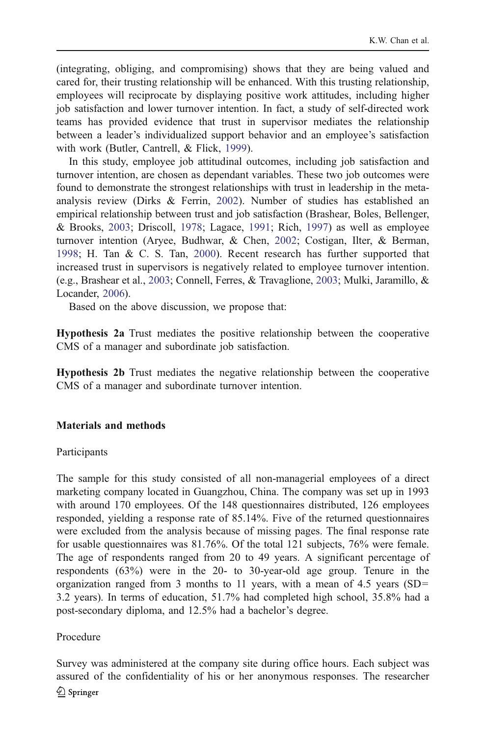(integrating, obliging, and compromising) shows that they are being valued and cared for, their trusting relationship will be enhanced. With this trusting relationship, employees will reciprocate by displaying positive work attitudes, including higher job satisfaction and lower turnover intention. In fact, a study of self-directed work teams has provided evidence that trust in supervisor mediates the relationship between a leader's individualized support behavior and an employee's satisfaction with work (Butler, Cantrell, & Flick, [1999](#page-15-0)).

In this study, employee job attitudinal outcomes, including job satisfaction and turnover intention, are chosen as dependant variables. These two job outcomes were found to demonstrate the strongest relationships with trust in leadership in the metaanalysis review (Dirks & Ferrin, [2002\)](#page-16-0). Number of studies has established an empirical relationship between trust and job satisfaction (Brashear, Boles, Bellenger, & Brooks, [2003](#page-15-0); Driscoll, [1978](#page-16-0); Lagace, [1991;](#page-17-0) Rich, [1997\)](#page-17-0) as well as employee turnover intention (Aryee, Budhwar, & Chen, [2002](#page-15-0); Costigan, Ilter, & Berman, [1998;](#page-16-0) H. Tan & C. S. Tan, [2000](#page-18-0)). Recent research has further supported that increased trust in supervisors is negatively related to employee turnover intention. (e.g., Brashear et al., [2003;](#page-15-0) Connell, Ferres, & Travaglione, [2003;](#page-16-0) Mulki, Jaramillo, & Locander, [2006\)](#page-17-0).

Based on the above discussion, we propose that:

Hypothesis 2a Trust mediates the positive relationship between the cooperative CMS of a manager and subordinate job satisfaction.

Hypothesis 2b Trust mediates the negative relationship between the cooperative CMS of a manager and subordinate turnover intention.

## Materials and methods

#### Participants

The sample for this study consisted of all non-managerial employees of a direct marketing company located in Guangzhou, China. The company was set up in 1993 with around 170 employees. Of the 148 questionnaires distributed, 126 employees responded, yielding a response rate of 85.14%. Five of the returned questionnaires were excluded from the analysis because of missing pages. The final response rate for usable questionnaires was 81.76%. Of the total 121 subjects, 76% were female. The age of respondents ranged from 20 to 49 years. A significant percentage of respondents (63%) were in the 20- to 30-year-old age group. Tenure in the organization ranged from 3 months to 11 years, with a mean of 4.5 years (SD= 3.2 years). In terms of education, 51.7% had completed high school, 35.8% had a post-secondary diploma, and 12.5% had a bachelor's degree.

Procedure

Survey was administered at the company site during office hours. Each subject was assured of the confidentiality of his or her anonymous responses. The researcher 2 Springer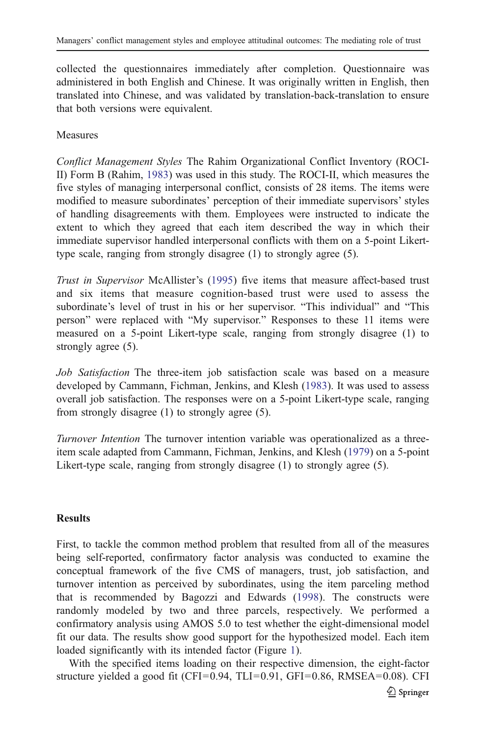collected the questionnaires immediately after completion. Questionnaire was administered in both English and Chinese. It was originally written in English, then translated into Chinese, and was validated by translation-back-translation to ensure that both versions were equivalent.

### **Measures**

Conflict Management Styles The Rahim Organizational Conflict Inventory (ROCI-II) Form B (Rahim, [1983\)](#page-17-0) was used in this study. The ROCI-II, which measures the five styles of managing interpersonal conflict, consists of 28 items. The items were modified to measure subordinates' perception of their immediate supervisors' styles of handling disagreements with them. Employees were instructed to indicate the extent to which they agreed that each item described the way in which their immediate supervisor handled interpersonal conflicts with them on a 5-point Likerttype scale, ranging from strongly disagree (1) to strongly agree (5).

Trust in Supervisor McAllister's ([1995\)](#page-17-0) five items that measure affect-based trust and six items that measure cognition-based trust were used to assess the subordinate's level of trust in his or her supervisor. "This individual" and "This person" were replaced with "My supervisor." Responses to these 11 items were measured on a 5-point Likert-type scale, ranging from strongly disagree (1) to strongly agree (5).

Job Satisfaction The three-item job satisfaction scale was based on a measure developed by Cammann, Fichman, Jenkins, and Klesh [\(1983](#page-15-0)). It was used to assess overall job satisfaction. The responses were on a 5-point Likert-type scale, ranging from strongly disagree (1) to strongly agree (5).

Turnover Intention The turnover intention variable was operationalized as a threeitem scale adapted from Cammann, Fichman, Jenkins, and Klesh [\(1979](#page-15-0)) on a 5-point Likert-type scale, ranging from strongly disagree (1) to strongly agree (5).

## **Results**

First, to tackle the common method problem that resulted from all of the measures being self-reported, confirmatory factor analysis was conducted to examine the conceptual framework of the five CMS of managers, trust, job satisfaction, and turnover intention as perceived by subordinates, using the item parceling method that is recommended by Bagozzi and Edwards [\(1998\)](#page-15-0). The constructs were randomly modeled by two and three parcels, respectively. We performed a confirmatory analysis using AMOS 5.0 to test whether the eight-dimensional model fit our data. The results show good support for the hypothesized model. Each item loaded significantly with its intended factor (Figure [1\)](#page-9-0).

With the specified items loading on their respective dimension, the eight-factor structure yielded a good fit (CFI=0.94, TLI=0.91, GFI=0.86, RMSEA=0.08). CFI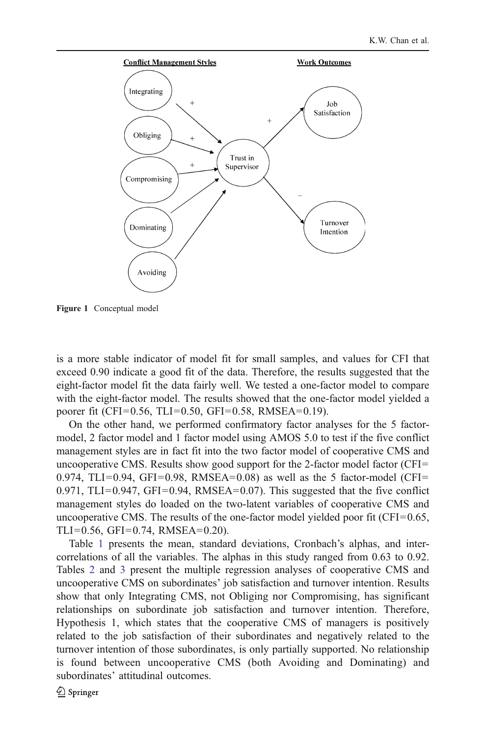<span id="page-9-0"></span>

Figure 1 Conceptual model

is a more stable indicator of model fit for small samples, and values for CFI that exceed 0.90 indicate a good fit of the data. Therefore, the results suggested that the eight-factor model fit the data fairly well. We tested a one-factor model to compare with the eight-factor model. The results showed that the one-factor model yielded a poorer fit (CFI=0.56, TLI=0.50, GFI=0.58, RMSEA=0.19).

On the other hand, we performed confirmatory factor analyses for the 5 factormodel, 2 factor model and 1 factor model using AMOS 5.0 to test if the five conflict management styles are in fact fit into the two factor model of cooperative CMS and uncooperative CMS. Results show good support for the 2-factor model factor (CFI= 0.974, TLI=0.94, GFI=0.98, RMSEA=0.08) as well as the 5 factor-model (CFI=  $0.971$ , TLI= $0.947$ , GFI= $0.94$ , RMSEA= $0.07$ ). This suggested that the five conflict management styles do loaded on the two-latent variables of cooperative CMS and uncooperative CMS. The results of the one-factor model yielded poor fit  $(CFI=0.65$ , TLI=0.56, GFI=0.74, RMSEA=0.20).

Table [1](#page-10-0) presents the mean, standard deviations, Cronbach's alphas, and intercorrelations of all the variables. The alphas in this study ranged from 0.63 to 0.92. Tables [2](#page-11-0) and [3](#page-11-0) present the multiple regression analyses of cooperative CMS and uncooperative CMS on subordinates' job satisfaction and turnover intention. Results show that only Integrating CMS, not Obliging nor Compromising, has significant relationships on subordinate job satisfaction and turnover intention. Therefore, Hypothesis 1, which states that the cooperative CMS of managers is positively related to the job satisfaction of their subordinates and negatively related to the turnover intention of those subordinates, is only partially supported. No relationship is found between uncooperative CMS (both Avoiding and Dominating) and subordinates' attitudinal outcomes.

2 Springer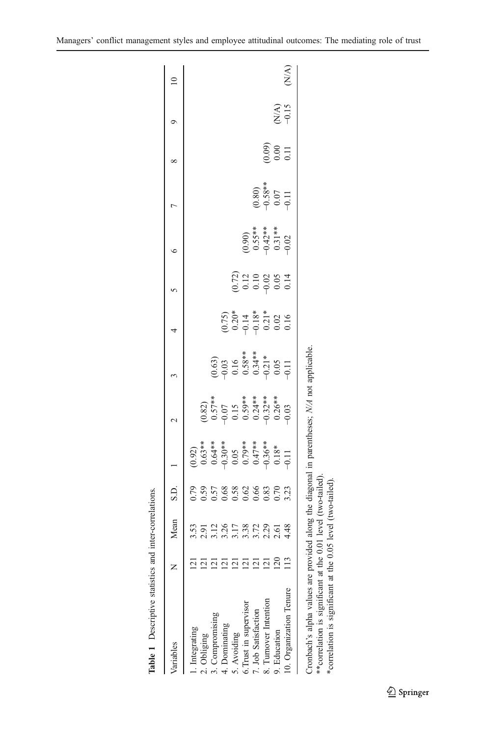<span id="page-10-0"></span>

|                                                       | S.D. |                                                                                                                                                                           |                                                                                                                                              |                                                                                |                                                                                                                                        |                                                                            | $\circ$                    |                                           |                                             |                       |                                                                                                                                                                                                         |
|-------------------------------------------------------|------|---------------------------------------------------------------------------------------------------------------------------------------------------------------------------|----------------------------------------------------------------------------------------------------------------------------------------------|--------------------------------------------------------------------------------|----------------------------------------------------------------------------------------------------------------------------------------|----------------------------------------------------------------------------|----------------------------|-------------------------------------------|---------------------------------------------|-----------------------|---------------------------------------------------------------------------------------------------------------------------------------------------------------------------------------------------------|
|                                                       |      |                                                                                                                                                                           |                                                                                                                                              |                                                                                |                                                                                                                                        |                                                                            |                            |                                           |                                             |                       |                                                                                                                                                                                                         |
|                                                       |      |                                                                                                                                                                           |                                                                                                                                              |                                                                                |                                                                                                                                        |                                                                            |                            |                                           |                                             |                       |                                                                                                                                                                                                         |
|                                                       |      |                                                                                                                                                                           |                                                                                                                                              |                                                                                |                                                                                                                                        |                                                                            |                            |                                           |                                             |                       |                                                                                                                                                                                                         |
|                                                       |      |                                                                                                                                                                           |                                                                                                                                              |                                                                                |                                                                                                                                        |                                                                            |                            |                                           |                                             |                       |                                                                                                                                                                                                         |
|                                                       |      |                                                                                                                                                                           |                                                                                                                                              |                                                                                |                                                                                                                                        |                                                                            |                            |                                           |                                             |                       |                                                                                                                                                                                                         |
|                                                       |      |                                                                                                                                                                           |                                                                                                                                              |                                                                                |                                                                                                                                        |                                                                            |                            |                                           |                                             |                       |                                                                                                                                                                                                         |
|                                                       |      |                                                                                                                                                                           |                                                                                                                                              |                                                                                |                                                                                                                                        |                                                                            |                            |                                           |                                             |                       |                                                                                                                                                                                                         |
|                                                       |      |                                                                                                                                                                           |                                                                                                                                              |                                                                                |                                                                                                                                        |                                                                            |                            |                                           |                                             |                       |                                                                                                                                                                                                         |
|                                                       |      |                                                                                                                                                                           |                                                                                                                                              |                                                                                |                                                                                                                                        |                                                                            |                            |                                           |                                             |                       | $\widetilde{N(A)}$                                                                                                                                                                                      |
|                                                       |      |                                                                                                                                                                           |                                                                                                                                              |                                                                                |                                                                                                                                        |                                                                            |                            |                                           |                                             |                       |                                                                                                                                                                                                         |
| 5<br>5 5 7 8 5 7 8 8 9 5 4<br>5 8 7 9 5 7 8 9 6 7 9 7 |      | ided along the diagonal<br>0.01 level (two-tailed<br>.05 level (two-tailed<br>P. 9. 5. 8 8. 8. 8. 8. 8. 9.<br>0. 0. 0. 0. 0. 0. 0. 0. 0. 9.<br>0. 0. 0. 0. 0. 0. 0. 0. 9. | $(0.92)$ $(0.63***)$ $(0.64***)$ $(0.64***)$ $(0.64***)$ $(0.64***)$ $(0.64***)$ $(0.64***)$ $(0.64***)$ $(0.64***)$ $(0.64***)$ $(0.64***)$ | $(0.82)$<br>$0.57**$<br>$-0.07$<br>$0.15$<br>$0.59**$<br>$0.24**$<br>$-0.26**$ | in parentheses; $N/A$ not applicable<br>$(0.63)$<br>$(0.16$<br>$0.58$ * $*$ * $*$ * $(0.53)$<br>$0.334$ * $*$ * $(0.505)$<br>$(0.010)$ | $(0.75)$<br>$0.20*$<br>$0.14*$<br>$0.21*$<br>$0.020*$<br>$0.016$<br>$0.16$ | 2)<br>2110<br>2110<br>2011 | $(0.90)$<br>0.55 **<br>0.42 **<br>0.31 ** | $(0.80)$<br>$(0.58**$<br>$0.07$<br>$(0.11)$ | 8 8 1<br>0 8 1<br>0 0 | $\begin{array}{c}\n\begin{array}{c}\n\bigtriangleup \\ \bigtriangleup \\ \bigtriangleup\n\end{array} \\ \hline\n\begin{array}{c}\n\bigtriangleup \\ \bigtriangleup\n\end{array} \\ \hline\n\end{array}$ |

| í               |
|-----------------|
| C es C<br>į     |
| Í<br>֧֧֛֝֜<br>ļ |
|                 |
|                 |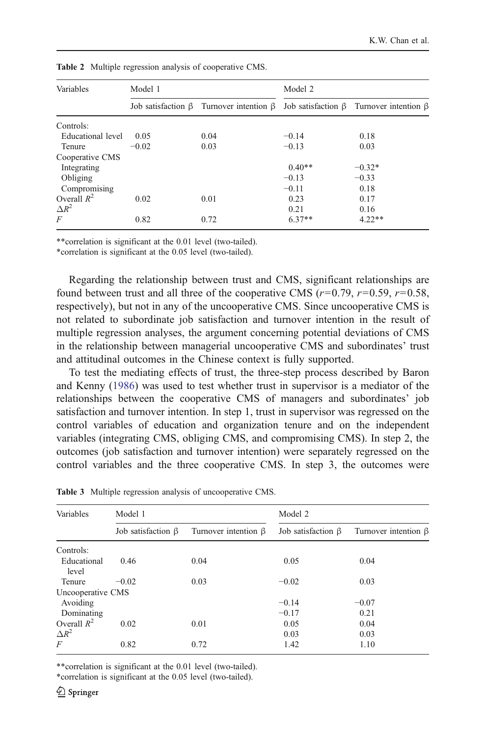| Variables         | Model 1 |                                                                                                         | Model 2  |          |  |
|-------------------|---------|---------------------------------------------------------------------------------------------------------|----------|----------|--|
|                   |         | Job satisfaction $\beta$ Turnover intention $\beta$ Job satisfaction $\beta$ Turnover intention $\beta$ |          |          |  |
| Controls:         |         |                                                                                                         |          |          |  |
| Educational level | 0.05    | 0.04                                                                                                    | $-0.14$  | 0.18     |  |
| Tenure            | $-0.02$ | 0.03                                                                                                    | $-0.13$  | 0.03     |  |
| Cooperative CMS   |         |                                                                                                         |          |          |  |
| Integrating       |         |                                                                                                         | $0.40**$ | $-0.32*$ |  |
| Obliging          |         |                                                                                                         | $-0.13$  | $-0.33$  |  |
| Compromising      |         |                                                                                                         | $-0.11$  | 0.18     |  |
| Overall $R^2$     | 0.02    | 0.01                                                                                                    | 0.23     | 0.17     |  |
| $\Delta R^2$      |         |                                                                                                         | 0.21     | 0.16     |  |
| F                 | 0.82    | 0.72                                                                                                    | $6.37**$ | $4.22**$ |  |

<span id="page-11-0"></span>Table 2 Multiple regression analysis of cooperative CMS.

\*\*correlation is significant at the 0.01 level (two-tailed).

\*correlation is significant at the 0.05 level (two-tailed).

Regarding the relationship between trust and CMS, significant relationships are found between trust and all three of the cooperative CMS ( $r=0.79$ ,  $r=0.59$ ,  $r=0.58$ , respectively), but not in any of the uncooperative CMS. Since uncooperative CMS is not related to subordinate job satisfaction and turnover intention in the result of multiple regression analyses, the argument concerning potential deviations of CMS in the relationship between managerial uncooperative CMS and subordinates' trust and attitudinal outcomes in the Chinese context is fully supported.

To test the mediating effects of trust, the three-step process described by Baron and Kenny ([1986\)](#page-15-0) was used to test whether trust in supervisor is a mediator of the relationships between the cooperative CMS of managers and subordinates' job satisfaction and turnover intention. In step 1, trust in supervisor was regressed on the control variables of education and organization tenure and on the independent variables (integrating CMS, obliging CMS, and compromising CMS). In step 2, the outcomes (job satisfaction and turnover intention) were separately regressed on the control variables and the three cooperative CMS. In step 3, the outcomes were

| Variables            | Model 1                  |                            |                          | Model 2                    |  |  |
|----------------------|--------------------------|----------------------------|--------------------------|----------------------------|--|--|
|                      | Job satisfaction $\beta$ | Turnover intention $\beta$ | Job satisfaction $\beta$ | Turnover intention $\beta$ |  |  |
| Controls:            |                          |                            |                          |                            |  |  |
| Educational<br>level | 0.46                     | 0.04                       | 0.05                     | 0.04                       |  |  |
| Tenure               | $-0.02$                  | 0.03                       | $-0.02$                  | 0.03                       |  |  |
| Uncooperative CMS    |                          |                            |                          |                            |  |  |
| Avoiding             |                          |                            | $-0.14$                  | $-0.07$                    |  |  |
| Dominating           |                          |                            | $-0.17$                  | 0.21                       |  |  |
| Overall $R^2$        | 0.02                     | 0.01                       | 0.05                     | 0.04                       |  |  |
| $\Delta R^2$         |                          |                            | 0.03                     | 0.03                       |  |  |
| $\overline{F}$       | 0.82                     | 0.72                       | 1.42                     | 1.10                       |  |  |

Table 3 Multiple regression analysis of uncooperative CMS.

\*\*correlation is significant at the 0.01 level (two-tailed).

\*correlation is significant at the 0.05 level (two-tailed).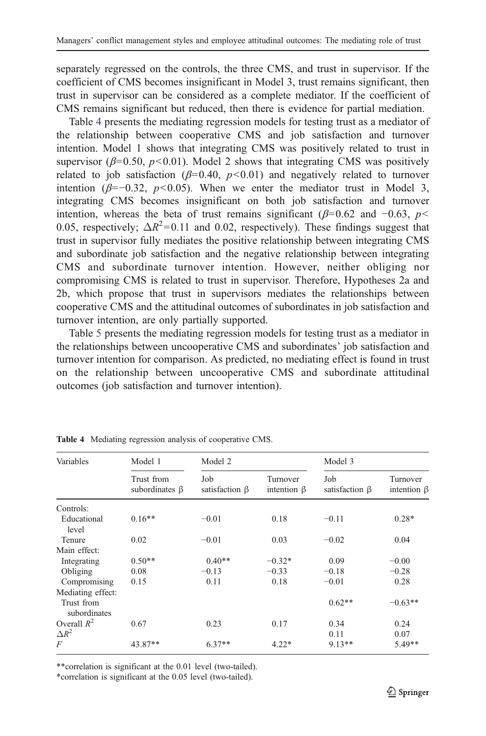separately regressed on the controls, the three CMS, and trust in supervisor. If the coefficient of CMS becomes insignificant in Model 3, trust remains significant, then trust in supervisor can be considered as a complete mediator. If the coefficient of CMS remains significant but reduced, then there is evidence for partial mediation.

Table 4 presents the mediating regression models for testing trust as a mediator of the relationship between cooperative CMS and job satisfaction and turnover intention. Model 1 shows that integrating CMS was positively related to trust in supervisor ( $\beta$ =0.50, p<0.01). Model 2 shows that integrating CMS was positively related to job satisfaction ( $\beta$ =0.40,  $p$ <0.01) and negatively related to turnover intention ( $\beta$ =−0.32, p<0.05). When we enter the mediator trust in Model 3, integrating CMS becomes insignificant on both job satisfaction and turnover intention, whereas the beta of trust remains significant ( $\beta$ =0.62 and −0.63, p< 0.05, respectively;  $\Delta R^2$ =0.11 and 0.02, respectively). These findings suggest that trust in supervisor fully mediates the positive relationship between integrating CMS and subordinate job satisfaction and the negative relationship between integrating CMS and subordinate turnover intention. However, neither obliging nor compromising CMS is related to trust in supervisor. Therefore, Hypotheses 2a and 2b, which propose that trust in supervisors mediates the relationships between cooperative CMS and the attitudinal outcomes of subordinates in job satisfaction and turnover intention, are only partially supported.

Table [5](#page-13-0) presents the mediating regression models for testing trust as a mediator in the relationships between uncooperative CMS and subordinates' job satisfaction and turnover intention for comparison. As predicted, no mediating effect is found in trust on the relationship between uncooperative CMS and subordinate attitudinal outcomes (job satisfaction and turnover intention).

| Variables                  | Model 1                            | Model 2                          |                               |                                  | Model 3                       |  |
|----------------------------|------------------------------------|----------------------------------|-------------------------------|----------------------------------|-------------------------------|--|
|                            | Trust from<br>subordinates $\beta$ | Job<br>satisfaction <sub>B</sub> | Turnover<br>intention $\beta$ | Job<br>satisfaction <sub>B</sub> | Turnover<br>intention $\beta$ |  |
| Controls:                  |                                    |                                  |                               |                                  |                               |  |
| Educational<br>level       | $0.16**$                           | $-0.01$                          | 0.18                          | $-0.11$                          | $0.28*$                       |  |
| Tenure                     | 0.02                               | $-0.01$                          | 0.03                          | $-0.02$                          | 0.04                          |  |
| Main effect:               |                                    |                                  |                               |                                  |                               |  |
| Integrating                | $0.50**$                           | $0.40**$                         | $-0.32*$                      | 0.09                             | $-0.00$                       |  |
| Obliging                   | 0.08                               | $-0.13$                          | $-0.33$                       | $-0.18$                          | $-0.28$                       |  |
| Compromising               | 0.15                               | 0.11                             | 0.18                          | $-0.01$                          | 0.28                          |  |
| Mediating effect:          |                                    |                                  |                               |                                  |                               |  |
| Trust from<br>subordinates |                                    |                                  |                               | $0.62**$                         | $-0.63**$                     |  |
| Overall $R^2$              | 0.67                               | 0.23                             | 0.17                          | 0.34                             | 0.24                          |  |
| $\Delta R^2$               |                                    |                                  |                               | 0.11                             | 0.07                          |  |
| $\overline{F}$             | 43.87**                            | $6.37**$                         | $4.22*$                       | $9.13**$                         | 5.49**                        |  |

Table 4 Mediating regression analysis of cooperative CMS.

\*\*correlation is significant at the 0.01 level (two-tailed).

\*correlation is significant at the 0.05 level (two-tailed).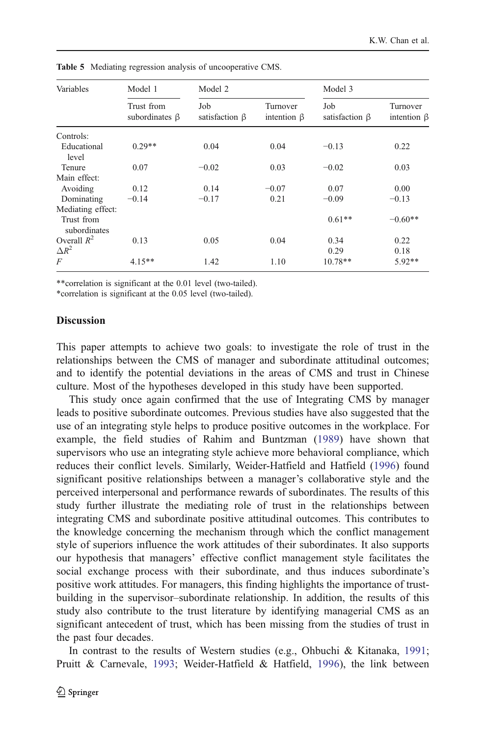| Variables                  | Model 1                            | Model 2                     |                               | Model 3                     |                               |
|----------------------------|------------------------------------|-----------------------------|-------------------------------|-----------------------------|-------------------------------|
|                            | Trust from<br>subordinates $\beta$ | Job<br>satisfaction $\beta$ | Turnover<br>intention $\beta$ | Job<br>satisfaction $\beta$ | Turnover<br>intention $\beta$ |
| Controls:                  |                                    |                             |                               |                             |                               |
| Educational<br>level       | $0.29**$                           | 0.04                        | 0.04                          | $-0.13$                     | 0.22                          |
| Tenure                     | 0.07                               | $-0.02$                     | 0.03                          | $-0.02$                     | 0.03                          |
| Main effect:               |                                    |                             |                               |                             |                               |
| Avoiding                   | 0.12                               | 0.14                        | $-0.07$                       | 0.07                        | 0.00                          |
| Dominating                 | $-0.14$                            | $-0.17$                     | 0.21                          | $-0.09$                     | $-0.13$                       |
| Mediating effect:          |                                    |                             |                               |                             |                               |
| Trust from<br>subordinates |                                    |                             |                               | $0.61**$                    | $-0.60**$                     |
| Overall $R^2$              | 0.13                               | 0.05                        | 0.04                          | 0.34                        | 0.22                          |
| $\Delta R^2$               |                                    |                             |                               | 0.29                        | 0.18                          |
| $\overline{F}$             | $4.15**$                           | 1.42                        | 1.10                          | $10.78**$                   | $5.92**$                      |

<span id="page-13-0"></span>Table 5 Mediating regression analysis of uncooperative CMS.

\*\*correlation is significant at the 0.01 level (two-tailed).

\*correlation is significant at the 0.05 level (two-tailed).

## **Discussion**

This paper attempts to achieve two goals: to investigate the role of trust in the relationships between the CMS of manager and subordinate attitudinal outcomes; and to identify the potential deviations in the areas of CMS and trust in Chinese culture. Most of the hypotheses developed in this study have been supported.

This study once again confirmed that the use of Integrating CMS by manager leads to positive subordinate outcomes. Previous studies have also suggested that the use of an integrating style helps to produce positive outcomes in the workplace. For example, the field studies of Rahim and Buntzman [\(1989](#page-17-0)) have shown that supervisors who use an integrating style achieve more behavioral compliance, which reduces their conflict levels. Similarly, Weider-Hatfield and Hatfield [\(1996](#page-18-0)) found significant positive relationships between a manager's collaborative style and the perceived interpersonal and performance rewards of subordinates. The results of this study further illustrate the mediating role of trust in the relationships between integrating CMS and subordinate positive attitudinal outcomes. This contributes to the knowledge concerning the mechanism through which the conflict management style of superiors influence the work attitudes of their subordinates. It also supports our hypothesis that managers' effective conflict management style facilitates the social exchange process with their subordinate, and thus induces subordinate's positive work attitudes. For managers, this finding highlights the importance of trustbuilding in the supervisor–subordinate relationship. In addition, the results of this study also contribute to the trust literature by identifying managerial CMS as an significant antecedent of trust, which has been missing from the studies of trust in the past four decades.

In contrast to the results of Western studies (e.g., Ohbuchi & Kitanaka, [1991;](#page-17-0) Pruitt & Carnevale, [1993](#page-17-0); Weider-Hatfield & Hatfield, [1996](#page-18-0)), the link between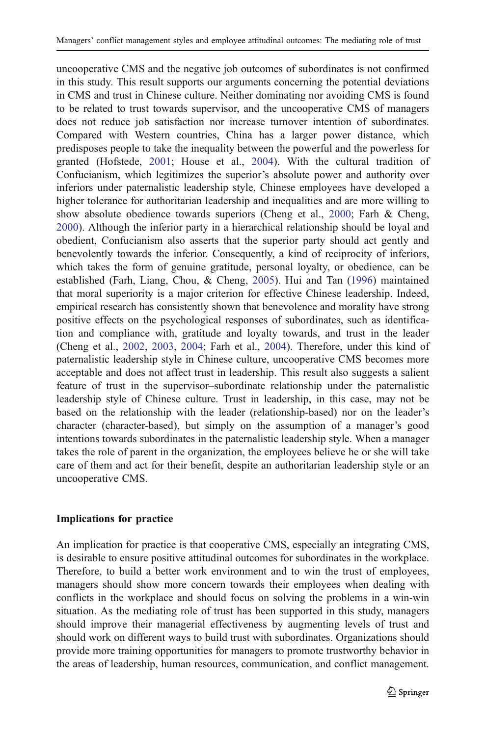uncooperative CMS and the negative job outcomes of subordinates is not confirmed in this study. This result supports our arguments concerning the potential deviations in CMS and trust in Chinese culture. Neither dominating nor avoiding CMS is found to be related to trust towards supervisor, and the uncooperative CMS of managers does not reduce job satisfaction nor increase turnover intention of subordinates. Compared with Western countries, China has a larger power distance, which predisposes people to take the inequality between the powerful and the powerless for granted (Hofstede, [2001;](#page-16-0) House et al., [2004\)](#page-16-0). With the cultural tradition of Confucianism, which legitimizes the superior's absolute power and authority over inferiors under paternalistic leadership style, Chinese employees have developed a higher tolerance for authoritarian leadership and inequalities and are more willing to show absolute obedience towards superiors (Cheng et al., [2000;](#page-16-0) Farh & Cheng, [2000\)](#page-16-0). Although the inferior party in a hierarchical relationship should be loyal and obedient, Confucianism also asserts that the superior party should act gently and benevolently towards the inferior. Consequently, a kind of reciprocity of inferiors, which takes the form of genuine gratitude, personal loyalty, or obedience, can be established (Farh, Liang, Chou, & Cheng, [2005](#page-16-0)). Hui and Tan [\(1996](#page-16-0)) maintained that moral superiority is a major criterion for effective Chinese leadership. Indeed, empirical research has consistently shown that benevolence and morality have strong positive effects on the psychological responses of subordinates, such as identification and compliance with, gratitude and loyalty towards, and trust in the leader (Cheng et al., [2002](#page-16-0), [2003](#page-16-0), [2004;](#page-16-0) Farh et al., [2004](#page-16-0)). Therefore, under this kind of paternalistic leadership style in Chinese culture, uncooperative CMS becomes more acceptable and does not affect trust in leadership. This result also suggests a salient feature of trust in the supervisor–subordinate relationship under the paternalistic leadership style of Chinese culture. Trust in leadership, in this case, may not be based on the relationship with the leader (relationship-based) nor on the leader's character (character-based), but simply on the assumption of a manager's good intentions towards subordinates in the paternalistic leadership style. When a manager takes the role of parent in the organization, the employees believe he or she will take care of them and act for their benefit, despite an authoritarian leadership style or an uncooperative CMS.

#### Implications for practice

An implication for practice is that cooperative CMS, especially an integrating CMS, is desirable to ensure positive attitudinal outcomes for subordinates in the workplace. Therefore, to build a better work environment and to win the trust of employees, managers should show more concern towards their employees when dealing with conflicts in the workplace and should focus on solving the problems in a win-win situation. As the mediating role of trust has been supported in this study, managers should improve their managerial effectiveness by augmenting levels of trust and should work on different ways to build trust with subordinates. Organizations should provide more training opportunities for managers to promote trustworthy behavior in the areas of leadership, human resources, communication, and conflict management.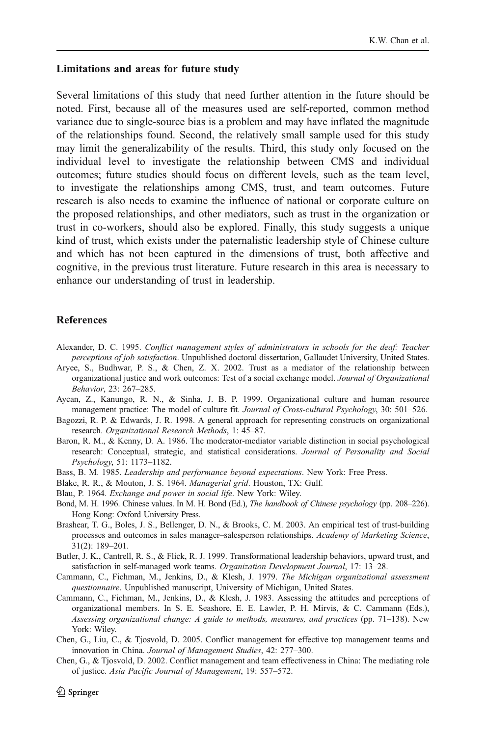#### <span id="page-15-0"></span>Limitations and areas for future study

Several limitations of this study that need further attention in the future should be noted. First, because all of the measures used are self-reported, common method variance due to single-source bias is a problem and may have inflated the magnitude of the relationships found. Second, the relatively small sample used for this study may limit the generalizability of the results. Third, this study only focused on the individual level to investigate the relationship between CMS and individual outcomes; future studies should focus on different levels, such as the team level, to investigate the relationships among CMS, trust, and team outcomes. Future research is also needs to examine the influence of national or corporate culture on the proposed relationships, and other mediators, such as trust in the organization or trust in co-workers, should also be explored. Finally, this study suggests a unique kind of trust, which exists under the paternalistic leadership style of Chinese culture and which has not been captured in the dimensions of trust, both affective and cognitive, in the previous trust literature. Future research in this area is necessary to enhance our understanding of trust in leadership.

## References

- Alexander, D. C. 1995. Conflict management styles of administrators in schools for the deaf: Teacher perceptions of job satisfaction. Unpublished doctoral dissertation, Gallaudet University, United States.
- Aryee, S., Budhwar, P. S., & Chen, Z. X. 2002. Trust as a mediator of the relationship between organizational justice and work outcomes: Test of a social exchange model. Journal of Organizational Behavior, 23: 267–285.
- Aycan, Z., Kanungo, R. N., & Sinha, J. B. P. 1999. Organizational culture and human resource management practice: The model of culture fit. Journal of Cross-cultural Psychology, 30: 501–526.
- Bagozzi, R. P. & Edwards, J. R. 1998. A general approach for representing constructs on organizational research. Organizational Research Methods, 1: 45–87.
- Baron, R. M., & Kenny, D. A. 1986. The moderator-mediator variable distinction in social psychological research: Conceptual, strategic, and statistical considerations. Journal of Personality and Social Psychology, 51: 1173–1182.
- Bass, B. M. 1985. Leadership and performance beyond expectations. New York: Free Press.
- Blake, R. R., & Mouton, J. S. 1964. Managerial grid. Houston, TX: Gulf.
- Blau, P. 1964. Exchange and power in social life. New York: Wiley.
- Bond, M. H. 1996. Chinese values. In M. H. Bond (Ed.), The handbook of Chinese psychology (pp. 208–226). Hong Kong: Oxford University Press.
- Brashear, T. G., Boles, J. S., Bellenger, D. N., & Brooks, C. M. 2003. An empirical test of trust-building processes and outcomes in sales manager–salesperson relationships. Academy of Marketing Science, 31(2): 189–201.
- Butler, J. K., Cantrell, R. S., & Flick, R. J. 1999. Transformational leadership behaviors, upward trust, and satisfaction in self-managed work teams. Organization Development Journal, 17: 13–28.
- Cammann, C., Fichman, M., Jenkins, D., & Klesh, J. 1979. The Michigan organizational assessment questionnaire. Unpublished manuscript, University of Michigan, United States.
- Cammann, C., Fichman, M., Jenkins, D., & Klesh, J. 1983. Assessing the attitudes and perceptions of organizational members. In S. E. Seashore, E. E. Lawler, P. H. Mirvis, & C. Cammann (Eds.), Assessing organizational change: A guide to methods, measures, and practices (pp. 71–138). New York: Wiley.
- Chen, G., Liu, C., & Tjosvold, D. 2005. Conflict management for effective top management teams and innovation in China. Journal of Management Studies, 42: 277–300.
- Chen, G., & Tjosvold, D. 2002. Conflict management and team effectiveness in China: The mediating role of justice. Asia Pacific Journal of Management, 19: 557–572.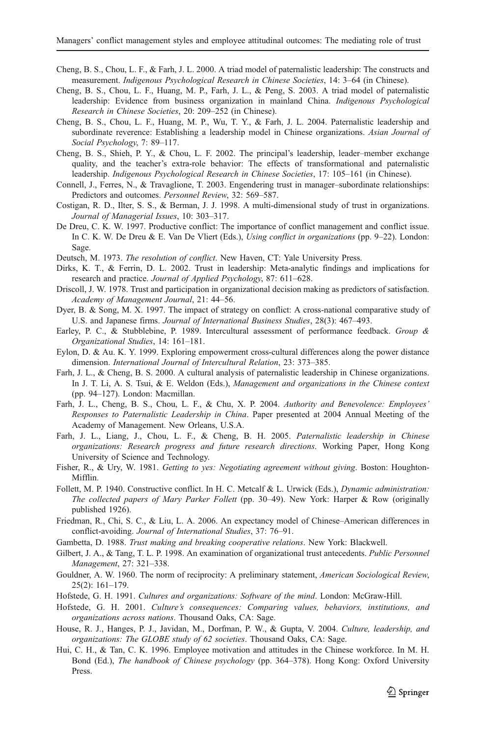- <span id="page-16-0"></span>Cheng, B. S., Chou, L. F., & Farh, J. L. 2000. A triad model of paternalistic leadership: The constructs and measurement. Indigenous Psychological Research in Chinese Societies, 14: 3–64 (in Chinese).
- Cheng, B. S., Chou, L. F., Huang, M. P., Farh, J. L., & Peng, S. 2003. A triad model of paternalistic leadership: Evidence from business organization in mainland China. Indigenous Psychological Research in Chinese Societies, 20: 209–252 (in Chinese).
- Cheng, B. S., Chou, L. F., Huang, M. P., Wu, T. Y., & Farh, J. L. 2004. Paternalistic leadership and subordinate reverence: Establishing a leadership model in Chinese organizations. Asian Journal of Social Psychology, 7: 89–117.
- Cheng, B. S., Shieh, P. Y., & Chou, L. F. 2002. The principal's leadership, leader–member exchange quality, and the teacher's extra-role behavior: The effects of transformational and paternalistic leadership. Indigenous Psychological Research in Chinese Societies, 17: 105–161 (in Chinese).
- Connell, J., Ferres, N., & Travaglione, T. 2003. Engendering trust in manager–subordinate relationships: Predictors and outcomes. Personnel Review, 32: 569–587.
- Costigan, R. D., Ilter, S. S., & Berman, J. J. 1998. A multi-dimensional study of trust in organizations. Journal of Managerial Issues, 10: 303–317.
- De Dreu, C. K. W. 1997. Productive conflict: The importance of conflict management and conflict issue. In C. K. W. De Dreu & E. Van De Vliert (Eds.), Using conflict in organizations (pp. 9–22). London: Sage.
- Deutsch, M. 1973. The resolution of conflict. New Haven, CT: Yale University Press.
- Dirks, K. T., & Ferrin, D. L. 2002. Trust in leadership: Meta-analytic findings and implications for research and practice. Journal of Applied Psychology, 87: 611–628.
- Driscoll, J. W. 1978. Trust and participation in organizational decision making as predictors of satisfaction. Academy of Management Journal, 21: 44–56.
- Dyer, B. & Song, M. X. 1997. The impact of strategy on conflict: A cross-national comparative study of U.S. and Japanese firms. Journal of International Business Studies, 28(3): 467–493.
- Earley, P. C., & Stubblebine, P. 1989. Intercultural assessment of performance feedback. Group & Organizational Studies, 14: 161–181.
- Eylon, D. & Au. K. Y. 1999. Exploring empowerment cross-cultural differences along the power distance dimension. International Journal of Intercultural Relation, 23: 373–385.
- Farh, J. L., & Cheng, B. S. 2000. A cultural analysis of paternalistic leadership in Chinese organizations. In J. T. Li, A. S. Tsui, & E. Weldon (Eds.), Management and organizations in the Chinese context (pp. 94–127). London: Macmillan.
- Farh, J. L., Cheng, B. S., Chou, L. F., & Chu, X. P. 2004. Authority and Benevolence: Employees' Responses to Paternalistic Leadership in China. Paper presented at 2004 Annual Meeting of the Academy of Management. New Orleans, U.S.A.
- Farh, J. L., Liang, J., Chou, L. F., & Cheng, B. H. 2005. Paternalistic leadership in Chinese organizations: Research progress and future research directions. Working Paper, Hong Kong University of Science and Technology.
- Fisher, R., & Ury, W. 1981. Getting to yes: Negotiating agreement without giving. Boston: Houghton-Mifflin.
- Follett, M. P. 1940. Constructive conflict. In H. C. Metcalf & L. Urwick (Eds.), Dynamic administration: The collected papers of Mary Parker Follett (pp. 30–49). New York: Harper & Row (originally published 1926).
- Friedman, R., Chi, S. C., & Liu, L. A. 2006. An expectancy model of Chinese–American differences in conflict-avoiding. Journal of International Studies, 37: 76–91.
- Gambetta, D. 1988. Trust making and breaking cooperative relations. New York: Blackwell.
- Gilbert, J. A., & Tang, T. L. P. 1998. An examination of organizational trust antecedents. Public Personnel Management, 27: 321–338.
- Gouldner, A. W. 1960. The norm of reciprocity: A preliminary statement, American Sociological Review, 25(2): 161–179.
- Hofstede, G. H. 1991. Cultures and organizations: Software of the mind. London: McGraw-Hill.
- Hofstede, G. H. 2001. Culture's consequences: Comparing values, behaviors, institutions, and organizations across nations. Thousand Oaks, CA: Sage.
- House, R. J., Hanges, P. J., Javidan, M., Dorfman, P. W., & Gupta, V. 2004. Culture, leadership, and organizations: The GLOBE study of 62 societies. Thousand Oaks, CA: Sage.
- Hui, C. H., & Tan, C. K. 1996. Employee motivation and attitudes in the Chinese workforce. In M. H. Bond (Ed.), The handbook of Chinese psychology (pp. 364–378). Hong Kong: Oxford University Press.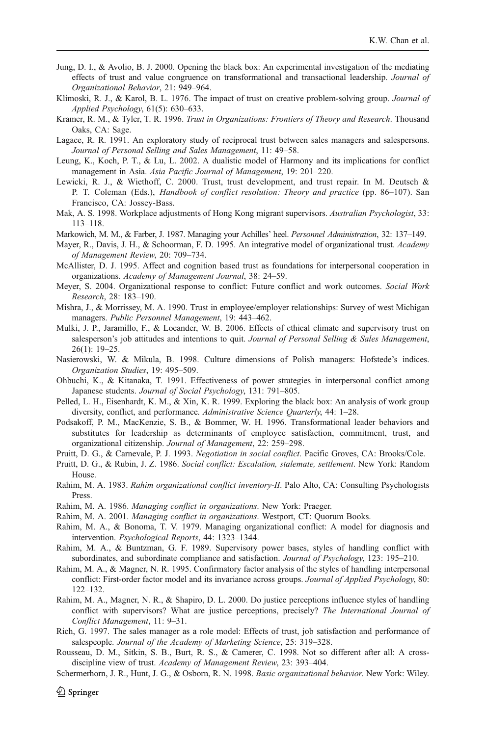- <span id="page-17-0"></span>Jung, D. I., & Avolio, B. J. 2000. Opening the black box: An experimental investigation of the mediating effects of trust and value congruence on transformational and transactional leadership. Journal of Organizational Behavior, 21: 949–964.
- Klimoski, R. J., & Karol, B. L. 1976. The impact of trust on creative problem-solving group. *Journal of* Applied Psychology, 61(5): 630–633.
- Kramer, R. M., & Tyler, T. R. 1996. Trust in Organizations: Frontiers of Theory and Research. Thousand Oaks, CA: Sage.
- Lagace, R. R. 1991. An exploratory study of reciprocal trust between sales managers and salespersons. Journal of Personal Selling and Sales Management, 11: 49–58.
- Leung, K., Koch, P. T., & Lu, L. 2002. A dualistic model of Harmony and its implications for conflict management in Asia. Asia Pacific Journal of Management, 19: 201–220.
- Lewicki, R. J., & Wiethoff, C. 2000. Trust, trust development, and trust repair. In M. Deutsch & P. T. Coleman (Eds.), Handbook of conflict resolution: Theory and practice (pp. 86–107). San Francisco, CA: Jossey-Bass.
- Mak, A. S. 1998. Workplace adjustments of Hong Kong migrant supervisors. Australian Psychologist, 33: 113–118.
- Markowich, M. M., & Farber, J. 1987. Managing your Achilles' heel. Personnel Administration, 32: 137-149.
- Mayer, R., Davis, J. H., & Schoorman, F. D. 1995. An integrative model of organizational trust. Academy of Management Review, 20: 709–734.
- McAllister, D. J. 1995. Affect and cognition based trust as foundations for interpersonal cooperation in organizations. Academy of Management Journal, 38: 24–59.
- Meyer, S. 2004. Organizational response to conflict: Future conflict and work outcomes. Social Work Research, 28: 183–190.
- Mishra, J., & Morrissey, M. A. 1990. Trust in employee/employer relationships: Survey of west Michigan managers. Public Personnel Management, 19: 443–462.
- Mulki, J. P., Jaramillo, F., & Locander, W. B. 2006. Effects of ethical climate and supervisory trust on salesperson's job attitudes and intentions to quit. Journal of Personal Selling & Sales Management, 26(1): 19–25.
- Nasierowski, W. & Mikula, B. 1998. Culture dimensions of Polish managers: Hofstede's indices. Organization Studies, 19: 495–509.
- Ohbuchi, K., & Kitanaka, T. 1991. Effectiveness of power strategies in interpersonal conflict among Japanese students. Journal of Social Psychology, 131: 791–805.
- Pelled, L. H., Eisenhardt, K. M., & Xin, K. R. 1999. Exploring the black box: An analysis of work group diversity, conflict, and performance. Administrative Science Quarterly, 44: 1–28.
- Podsakoff, P. M., MacKenzie, S. B., & Bommer, W. H. 1996. Transformational leader behaviors and substitutes for leadership as determinants of employee satisfaction, commitment, trust, and organizational citizenship. Journal of Management, 22: 259–298.
- Pruitt, D. G., & Carnevale, P. J. 1993. Negotiation in social conflict. Pacific Groves, CA: Brooks/Cole.
- Pruitt, D. G., & Rubin, J. Z. 1986. Social conflict: Escalation, stalemate, settlement. New York: Random House.
- Rahim, M. A. 1983. Rahim organizational conflict inventory-II. Palo Alto, CA: Consulting Psychologists Press.
- Rahim, M. A. 1986. Managing conflict in organizations. New York: Praeger.
- Rahim, M. A. 2001. Managing conflict in organizations. Westport, CT: Quorum Books.
- Rahim, M. A., & Bonoma, T. V. 1979. Managing organizational conflict: A model for diagnosis and intervention. Psychological Reports, 44: 1323–1344.
- Rahim, M. A., & Buntzman, G. F. 1989. Supervisory power bases, styles of handling conflict with subordinates, and subordinate compliance and satisfaction. Journal of Psychology, 123: 195–210.
- Rahim, M. A., & Magner, N. R. 1995. Confirmatory factor analysis of the styles of handling interpersonal conflict: First-order factor model and its invariance across groups. Journal of Applied Psychology, 80: 122–132.
- Rahim, M. A., Magner, N. R., & Shapiro, D. L. 2000. Do justice perceptions influence styles of handling conflict with supervisors? What are justice perceptions, precisely? The International Journal of Conflict Management, 11: 9–31.
- Rich, G. 1997. The sales manager as a role model: Effects of trust, job satisfaction and performance of salespeople. Journal of the Academy of Marketing Science, 25: 319–328.
- Rousseau, D. M., Sitkin, S. B., Burt, R. S., & Camerer, C. 1998. Not so different after all: A crossdiscipline view of trust. Academy of Management Review, 23: 393–404.
- Schermerhorn, J. R., Hunt, J. G., & Osborn, R. N. 1998. Basic organizational behavior. New York: Wiley.

2 Springer